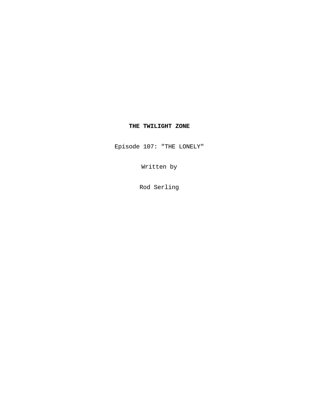# **THE TWILIGHT ZONE**

Episode 107: "THE LONELY"

Written by

Rod Serling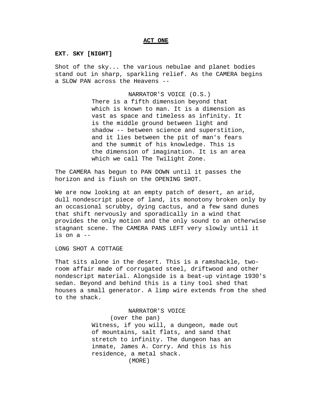#### **ACT ONE**

## **EXT. SKY [NIGHT]**

Shot of the sky... the various nebulae and planet bodies stand out in sharp, sparkling relief. As the CAMERA begins a SLOW PAN across the Heavens --

> NARRATOR'S VOICE (O.S.) There is a fifth dimension beyond that which is known to man. It is a dimension as vast as space and timeless as infinity. It is the middle ground between light and shadow -- between science and superstition, and it lies between the pit of man's fears and the summit of his knowledge. This is the dimension of imagination. It is an area which we call The Twilight Zone.

The CAMERA has begun to PAN DOWN until it passes the horizon and is flush on the OPENING SHOT.

We are now looking at an empty patch of desert, an arid, dull nondescript piece of land, its monotony broken only by an occasional scrubby, dying cactus, and a few sand dunes that shift nervously and sporadically in a wind that provides the only motion and the only sound to an otherwise stagnant scene. The CAMERA PANS LEFT very slowly until it is on a --

LONG SHOT A COTTAGE

That sits alone in the desert. This is a ramshackle, tworoom affair made of corrugated steel, driftwood and other nondescript material. Alongside is a beat-up vintage 1930's sedan. Beyond and behind this is a tiny tool shed that houses a small generator. A limp wire extends from the shed to the shack.

> NARRATOR'S VOICE (over the pan) Witness, if you will, a dungeon, made out of mountains, salt flats, and sand that stretch to infinity. The dungeon has an inmate, James A. Corry. And this is his residence, a metal shack. (MORE)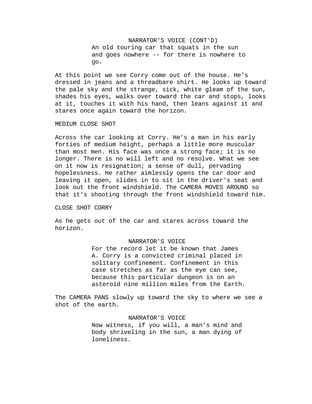NARRATOR'S VOICE (CONT'D) An old touring car that squats in the sun and goes nowhere -- for there is nowhere to go.

At this point we see Corry come out of the house. He's dressed in jeans and a threadbare shirt. He looks up toward the pale sky and the strange, sick, white gleam of the sun, shades his eyes, walks over toward the car and stops, looks at it, touches it with his hand, then leans against it and stares once again toward the horizon.

## MEDIUM CLOSE SHOT

Across the car looking at Corry. He's a man in his early forties of medium height, perhaps a little more muscular than most men. His face was once a strong face; it is no longer. There is no will left and no resolve. What we see on it now is resignation; a sense of dull, pervading hopelessness. He rather aimlessly opens the car door and leaving it open, slides in to sit in the driver's seat and look out the front windshield. The CAMERA MOVES AROUND so that it's shooting through the front windshield toward him.

## CLOSE SHOT CORRY

As he gets out of the car and stares across toward the horizon.

## NARRATOR'S VOICE

For the record let it be known that James A. Corry is a convicted criminal placed in solitary confinement. Confinement in this case stretches as far as the eye can see, because this particular dungeon is on an asteroid nine million miles from the Earth.

The CAMERA PANS slowly up toward the sky to where we see a shot of the earth.

#### NARRATOR'S VOICE

Now witness, if you will, a man's mind and body shriveling in the sun, a man dying of loneliness.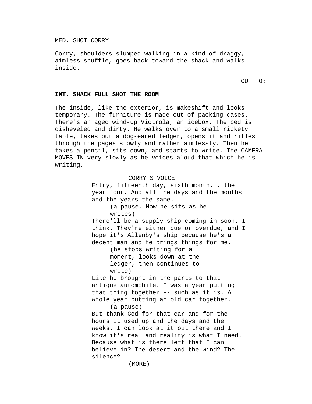## MED. SHOT CORRY

Corry, shoulders slumped walking in a kind of draggy, aimless shuffle, goes back toward the shack and walks inside.

CUT TO:

## **INT. SHACK FULL SHOT THE ROOM**

The inside, like the exterior, is makeshift and looks temporary. The furniture is made out of packing cases. There's an aged wind-up Victrola, an icebox. The bed is disheveled and dirty. He walks over to a small rickety table, takes out a dog-eared ledger, opens it and rifles through the pages slowly and rather aimlessly. Then he takes a pencil, sits down, and starts to write. The CAMERA MOVES IN very slowly as he voices aloud that which he is writing.

> CORRY'S VOICE Entry, fifteenth day, sixth month... the year four. And all the days and the months and the years the same. (a pause. Now he sits as he writes) There'll be a supply ship coming in soon. I think. They're either due or overdue, and I hope it's Allenby's ship because he's a decent man and he brings things for me. (he stops writing for a moment, looks down at the ledger, then continues to write) Like he brought in the parts to that antique automobile. I was a year putting that thing together -- such as it is. A whole year putting an old car together. (a pause) But thank God for that car and for the hours it used up and the days and the weeks. I can look at it out there and I know it's real and reality is what I need. Because what is there left that I can believe in? The desert and the wind? The silence? (MORE)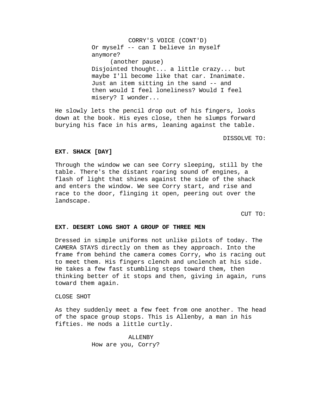CORRY'S VOICE (CONT'D) Or myself -- can I believe in myself anymore? (another pause) Disjointed thought... a little crazy... but maybe I'll become like that car. Inanimate. Just an item sitting in the sand -- and then would I feel loneliness? Would I feel misery? I wonder...

He slowly lets the pencil drop out of his fingers, looks down at the book. His eyes close, then he slumps forward burying his face in his arms, leaning against the table.

#### DISSOLVE TO:

## **EXT. SHACK [DAY]**

Through the window we can see Corry sleeping, still by the table. There's the distant roaring sound of engines, a flash of light that shines against the side of the shack and enters the window. We see Corry start, and rise and race to the door, flinging it open, peering out over the landscape.

CUT TO:

### **EXT. DESERT LONG SHOT A GROUP OF THREE MEN**

Dressed in simple uniforms not unlike pilots of today. The CAMERA STAYS directly on them as they approach. Into the frame from behind the camera comes Corry, who is racing out to meet them. His fingers clench and unclench at his side. He takes a few fast stumbling steps toward them, then thinking better of it stops and then, giving in again, runs toward them again.

### CLOSE SHOT

As they suddenly meet a few feet from one another. The head of the space group stops. This is Allenby, a man in his fifties. He nods a little curtly.

> ALLENBY How are you, Corry?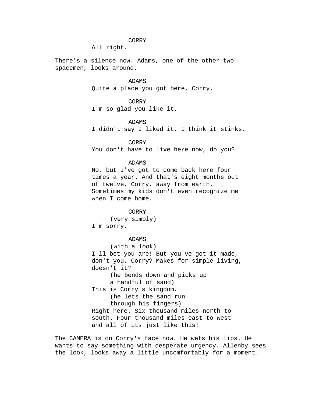All right.

There's a silence now. Adams, one of the other two spacemen, looks around.

## ADAMS

Quite a place you got here, Corry.

CORRY I'm so glad you like it.

### ADAMS

I didn't say I liked it. I think it stinks.

## CORRY

You don't have to live here now, do you?

## ADAMS

No, but I've got to come back here four times a year. And that's eight months out of twelve, Corry, away from earth. Sometimes my kids don't even recognize me when I come home.

CORRY (very simply) I'm sorry.

## ADAMS

(with a look) I'll bet you are! But you've got it made, don't you. Corry? Makes for simple living, doesn't it? (he bends down and picks up a handful of sand) This is Corry's kingdom. (he lets the sand run through his fingers) Right here. Six thousand miles north to south. Four thousand miles east to west - and all of its just like this!

The CAMERA is on Corry's face now. He wets his lips. He wants to say something with desperate urgency. Allenby sees the look, looks away a little uncomfortably for a moment.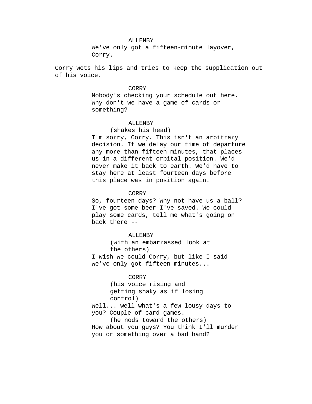## ALLENBY

We've only got a fifteen-minute layover, Corry.

Corry wets his lips and tries to keep the supplication out of his voice.

## CORRY

Nobody's checking your schedule out here. Why don't we have a game of cards or something?

## ALLENBY

## (shakes his head)

I'm sorry, Corry. This isn't an arbitrary decision. If we delay our time of departure any more than fifteen minutes, that places us in a different orbital position. We'd never make it back to earth. We'd have to stay here at least fourteen days before this place was in position again.

#### CORRY

So, fourteen days? Why not have us a ball? I've got some beer I've saved. We could play some cards, tell me what's going on back there --

#### ALLENBY

(with an embarrassed look at the others) I wish we could Corry, but like I said - we've only got fifteen minutes...

### CORRY

(his voice rising and getting shaky as if losing control)

Well... well what's a few lousy days to you? Couple of card games.

(he nods toward the others) How about you guys? You think I'll murder you or something over a bad hand?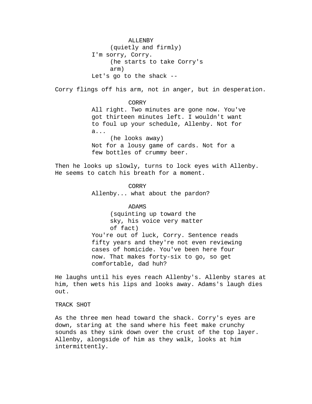ALLENBY (quietly and firmly) I'm sorry, Corry. (he starts to take Corry's arm) Let's go to the shack -- Corry flings off his arm, not in anger, but in desperation. CORRY All right. Two minutes are gone now. You've got thirteen minutes left. I wouldn't want to foul up your schedule, Allenby. Not for a... (he looks away) Not for a lousy game of cards. Not for a few bottles of crummy beer. Then he looks up slowly, turns to lock eyes with Allenby. He seems to catch his breath for a moment. CORRY Allenby... what about the pardon? ADAMS (squinting up toward the sky, his voice very matter of fact) You're out of luck, Corry. Sentence reads fifty years and they're not even reviewing cases of homicide. You've been here four now. That makes forty-six to go, so get comfortable, dad huh?

He laughs until his eyes reach Allenby's. Allenby stares at him, then wets his lips and looks away. Adams's laugh dies out.

## TRACK SHOT

As the three men head toward the shack. Corry's eyes are down, staring at the sand where his feet make crunchy sounds as they sink down over the crust of the top layer. Allenby, alongside of him as they walk, looks at him intermittently.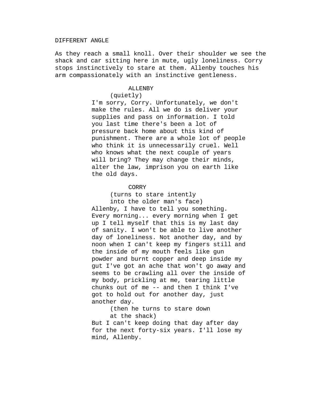#### DIFFERENT ANGLE

As they reach a small knoll. Over their shoulder we see the shack and car sitting here in mute, ugly loneliness. Corry stops instinctively to stare at them. Allenby touches his arm compassionately with an instinctive gentleness.

### ALLENBY

## (quietly)

I'm sorry, Corry. Unfortunately, we don't make the rules. All we do is deliver your supplies and pass on information. I told you last time there's been a lot of pressure back home about this kind of punishment. There are a whole lot of people who think it is unnecessarily cruel. Well who knows what the next couple of years will bring? They may change their minds, alter the law, imprison you on earth like the old days.

#### CORRY

(turns to stare intently

into the older man's face) Allenby, I have to tell you something. Every morning... every morning when I get up I tell myself that this is my last day of sanity. I won't be able to live another day of loneliness. Not another day, and by noon when I can't keep my fingers still and the inside of my mouth feels like gun powder and burnt copper and deep inside my gut I've got an ache that won't go away and seems to be crawling all over the inside of my body, prickling at me, tearing little chunks out of me -- and then I think I've got to hold out for another day, just another day.

(then he turns to stare down at the shack)

But I can't keep doing that day after day for the next forty-six years. I'll lose my mind, Allenby.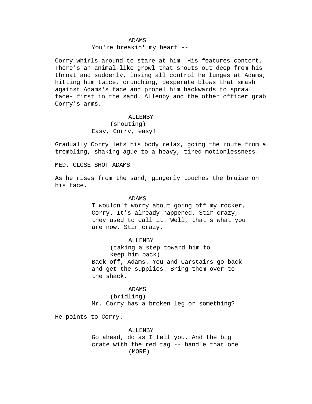### ADAMS

You're breakin' my heart --

Corry whirls around to stare at him. His features contort. There's an animal-like growl that shouts out deep from his throat and suddenly, losing all control he lunges at Adams, hitting him twice, crunching, desperate blows that smash against Adams's face and propel him backwards to sprawl face- first in the sand. Allenby and the other officer grab Corry's arms.

#### ALLENBY

(shouting) Easy, Corry, easy!

Gradually Corry lets his body relax, going the route from a trembling, shaking ague to a heavy, tired motionlessness.

MED. CLOSE SHOT ADAMS

As he rises from the sand, gingerly touches the bruise on his face.

#### ADAMS

I wouldn't worry about going off my rocker, Corry. It's already happened. Stir crazy, they used to call it. Well, that's what you are now. Stir crazy.

ALLENBY

(taking a step toward him to keep him back) Back off, Adams. You and Carstairs go back and get the supplies. Bring them over to the shack.

### ADAMS

(bridling) Mr. Corry has a broken leg or something?

He points to Corry.

## ALLENBY

Go ahead, do as I tell you. And the big crate with the red tag -- handle that one (MORE)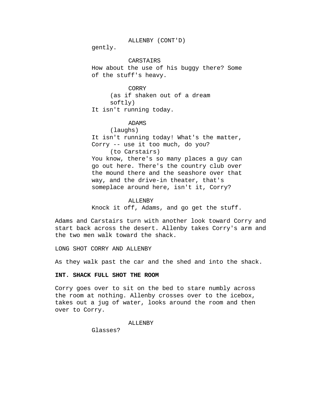ALLENBY (CONT'D)

gently.

**CARSTAIRS** How about the use of his buggy there? Some of the stuff's heavy.

CORRY (as if shaken out of a dream softly) It isn't running today.

## ADAMS

(laughs) It isn't running today! What's the matter, Corry -- use it too much, do you? (to Carstairs) You know, there's so many places a guy can go out here. There's the country club over the mound there and the seashore over that way, and the drive-in theater, that's

### ALLENBY

Knock it off, Adams, and go get the stuff.

Adams and Carstairs turn with another look toward Corry and start back across the desert. Allenby takes Corry's arm and the two men walk toward the shack.

someplace around here, isn't it, Corry?

LONG SHOT CORRY AND ALLENBY

As they walk past the car and the shed and into the shack.

## **INT. SHACK FULL SHOT THE ROOM**

Corry goes over to sit on the bed to stare numbly across the room at nothing. Allenby crosses over to the icebox, takes out a jug of water, looks around the room and then over to Corry.

ALLENBY

Glasses?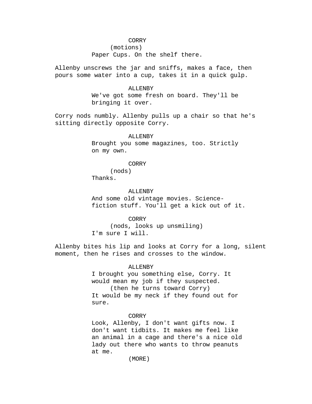(motions) Paper Cups. On the shelf there.

Allenby unscrews the jar and sniffs, makes a face, then pours some water into a cup, takes it in a quick gulp.

#### ALLENBY

We've got some fresh on board. They'll be bringing it over.

Corry nods numbly. Allenby pulls up a chair so that he's sitting directly opposite Corry.

## ALLENBY

Brought you some magazines, too. Strictly on my own.

## CORRY

(nods) Thanks.

ALLENBY

And some old vintage movies. Sciencefiction stuff. You'll get a kick out of it.

## CORRY

(nods, looks up unsmiling) I'm sure I will.

Allenby bites his lip and looks at Corry for a long, silent moment, then he rises and crosses to the window.

## ALLENBY

I brought you something else, Corry. It would mean my job if they suspected. (then he turns toward Corry) It would be my neck if they found out for sure.

#### CORRY

Look, Allenby, I don't want gifts now. I don't want tidbits. It makes me feel like an animal in a cage and there's a nice old lady out there who wants to throw peanuts at me.

(MORE)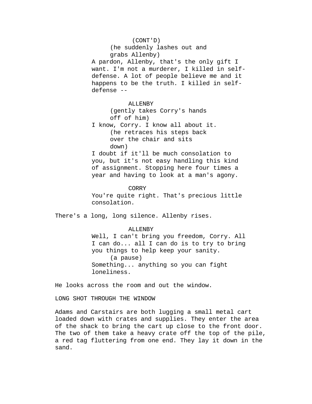(CONT'D) (he suddenly lashes out and grabs Allenby) A pardon, Allenby, that's the only gift I want. I'm not a murderer, I killed in selfdefense. A lot of people believe me and it happens to be the truth. I killed in selfdefense -- ALLENBY (gently takes Corry's hands off of him) I know, Corry. I know all about it. (he retraces his steps back over the chair and sits down) I doubt if it'll be much consolation to you, but it's not easy handling this kind of assignment. Stopping here four times a year and having to look at a man's agony. CORRY You're quite right. That's precious little consolation. There's a long, long silence. Allenby rises. ALLENBY Well, I can't bring you freedom, Corry. All

I can do... all I can do is to try to bring you things to help keep your sanity. (a pause) Something... anything so you can fight loneliness.

He looks across the room and out the window.

LONG SHOT THROUGH THE WINDOW

Adams and Carstairs are both lugging a small metal cart loaded down with crates and supplies. They enter the area of the shack to bring the cart up close to the front door. The two of them take a heavy crate off the top of the pile, a red tag fluttering from one end. They lay it down in the sand.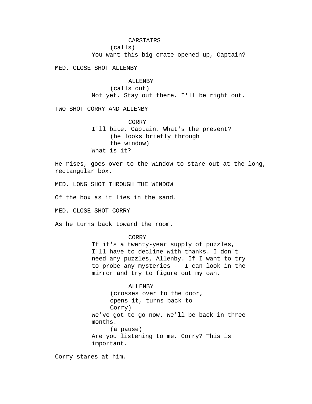## CARSTAIRS

(calls)

You want this big crate opened up, Captain?

MED. CLOSE SHOT ALLENBY

## ALLENBY

(calls out) Not yet. Stay out there. I'll be right out.

TWO SHOT CORRY AND ALLENBY

CORRY I'll bite, Captain. What's the present? (he looks briefly through the window) What is it?

He rises, goes over to the window to stare out at the long, rectangular box.

MED. LONG SHOT THROUGH THE WINDOW

Of the box as it lies in the sand.

MED. CLOSE SHOT CORRY

As he turns back toward the room.

## CORRY

If it's a twenty-year supply of puzzles, I'll have to decline with thanks. I don't need any puzzles, Allenby. If I want to try to probe any mysteries -- I can look in the mirror and try to figure out my own.

## ALLENBY

(crosses over to the door, opens it, turns back to Corry) We've got to go now. We'll be back in three months. (a pause) Are you listening to me, Corry? This is important.

Corry stares at him.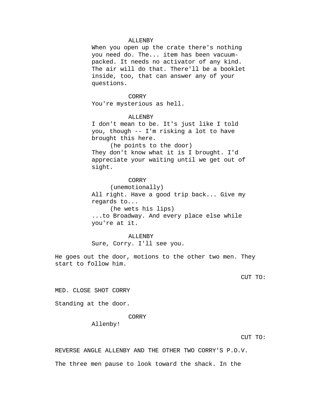### ALLENBY

When you open up the crate there's nothing you need do. The... item has been vacuumpacked. It needs no activator of any kind. The air will do that. There'll be a booklet inside, too, that can answer any of your questions.

#### CORRY

You're mysterious as hell.

### ALLENBY

I don't mean to be. It's just like I told you, though -- I'm risking a lot to have brought this here.

(he points to the door) They don't know what it is I brought. I'd appreciate your waiting until we get out of sight.

## CORRY

(unemotionally) All right. Have a good trip back... Give my regards to... (he wets his lips)

...to Broadway. And every place else while you're at it.

ALLENBY Sure, Corry. I'll see you.

He goes out the door, motions to the other two men. They start to follow him.

CUT TO:

MED. CLOSE SHOT CORRY

Standing at the door.

### CORRY

Allenby!

CUT TO:

REVERSE ANGLE ALLENBY AND THE OTHER TWO CORRY'S P.O.V.

The three men pause to look toward the shack. In the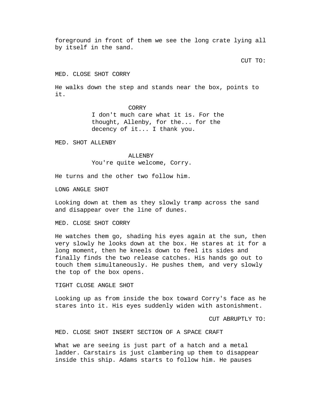foreground in front of them we see the long crate lying all by itself in the sand.

CUT TO:

MED. CLOSE SHOT CORRY

He walks down the step and stands near the box, points to it.

CORRY

I don't much care what it is. For the thought, Allenby, for the... for the decency of it... I thank you.

MED. SHOT ALLENBY

#### ALLENBY

You're quite welcome, Corry.

He turns and the other two follow him.

LONG ANGLE SHOT

Looking down at them as they slowly tramp across the sand and disappear over the line of dunes.

MED. CLOSE SHOT CORRY

He watches them go, shading his eyes again at the sun, then very slowly he looks down at the box. He stares at it for a long moment, then he kneels down to feel its sides and finally finds the two release catches. His hands go out to touch them simultaneously. He pushes them, and very slowly the top of the box opens.

TIGHT CLOSE ANGLE SHOT

Looking up as from inside the box toward Corry's face as he stares into it. His eyes suddenly widen with astonishment.

CUT ABRUPTLY TO:

MED. CLOSE SHOT INSERT SECTION OF A SPACE CRAFT

What we are seeing is just part of a hatch and a metal ladder. Carstairs is just clambering up them to disappear inside this ship. Adams starts to follow him. He pauses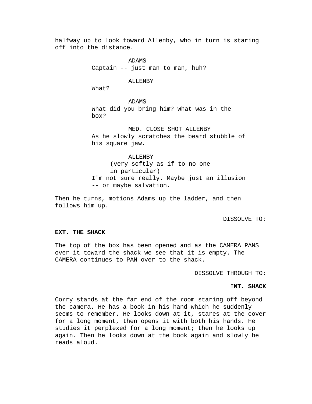halfway up to look toward Allenby, who in turn is staring off into the distance.

> ADAMS Captain -- just man to man, huh?

### ALLENBY

What?

ADAMS What did you bring him? What was in the box?

MED. CLOSE SHOT ALLENBY As he slowly scratches the beard stubble of his square jaw.

ALLENBY (very softly as if to no one in particular) I'm not sure really. Maybe just an illusion -- or maybe salvation.

Then he turns, motions Adams up the ladder, and then follows him up.

### DISSOLVE TO:

### **EXT. THE SHACK**

The top of the box has been opened and as the CAMERA PANS over it toward the shack we see that it is empty. The CAMERA continues to PAN over to the shack.

DISSOLVE THROUGH TO:

## I**NT. SHACK**

Corry stands at the far end of the room staring off beyond the camera. He has a book in his hand which he suddenly seems to remember. He looks down at it, stares at the cover for a long moment, then opens it with both his hands. He studies it perplexed for a long moment; then he looks up again. Then he looks down at the book again and slowly he reads aloud.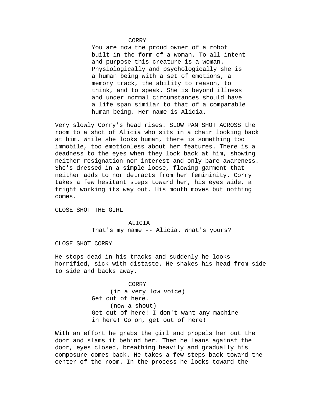You are now the proud owner of a robot built in the form of a woman. To all intent and purpose this creature is a woman. Physiologically and psychologically she is a human being with a set of emotions, a memory track, the ability to reason, to think, and to speak. She is beyond illness and under normal circumstances should have a life span similar to that of a comparable human being. Her name is Alicia.

Very slowly Corry's head rises. SLOW PAN SHOT ACROSS the room to a shot of Alicia who sits in a chair looking back at him. While she looks human, there is something too immobile, too emotionless about her features. There is a deadness to the eyes when they look back at him, showing neither resignation nor interest and only bare awareness. She's dressed in a simple loose, flowing garment that neither adds to nor detracts from her femininity. Corry takes a few hesitant steps toward her, his eyes wide, a fright working its way out. His mouth moves but nothing comes.

CLOSE SHOT THE GIRL

#### ALICIA

That's my name -- Alicia. What's yours?

CLOSE SHOT CORRY

He stops dead in his tracks and suddenly he looks horrified, sick with distaste. He shakes his head from side to side and backs away.

> CORRY (in a very low voice) Get out of here. (now a shout) Get out of here! I don't want any machine in here! Go on, get out of here!

With an effort he grabs the girl and propels her out the door and slams it behind her. Then he leans against the door, eyes closed, breathing heavily and gradually his composure comes back. He takes a few steps back toward the center of the room. In the process he looks toward the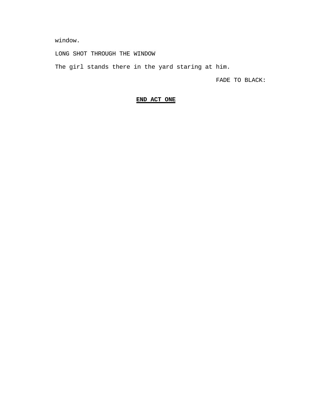window.

LONG SHOT THROUGH THE WINDOW

The girl stands there in the yard staring at him.

FADE TO BLACK:

# **END ACT ONE**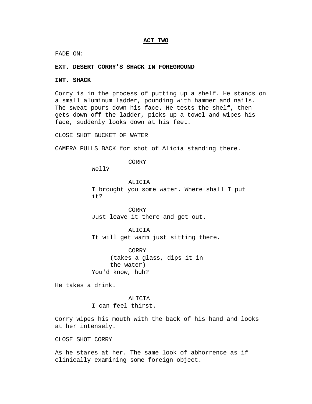## **ACT TWO**

FADE ON:

### **EXT. DESERT CORRY'S SHACK IN FOREGROUND**

#### **INT. SHACK**

Corry is in the process of putting up a shelf. He stands on a small aluminum ladder, pounding with hammer and nails. The sweat pours down his face. He tests the shelf, then gets down off the ladder, picks up a towel and wipes his face, suddenly looks down at his feet.

CLOSE SHOT BUCKET OF WATER

CAMERA PULLS BACK for shot of Alicia standing there.

CORRY

Well?

#### ALICIA

I brought you some water. Where shall I put it?

CORRY Just leave it there and get out.

ALICIA It will get warm just sitting there.

CORRY (takes a glass, dips it in the water) You'd know, huh?

He takes a drink.

ALICIA I can feel thirst.

Corry wipes his mouth with the back of his hand and looks at her intensely.

CLOSE SHOT CORRY

As he stares at her. The same look of abhorrence as if clinically examining some foreign object.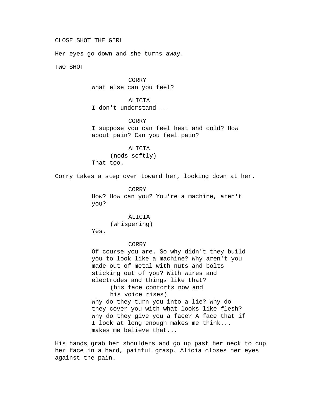CLOSE SHOT THE GIRL

Her eyes go down and she turns away.

TWO SHOT

CORRY What else can you feel?

ALICIA I don't understand --

CORRY I suppose you can feel heat and cold? How about pain? Can you feel pain?

ALICIA (nods softly) That too.

Corry takes a step over toward her, looking down at her.

CORRY How? How can you? You're a machine, aren't you?

ALICIA

(whispering)

Yes.

## CORRY

Of course you are. So why didn't they build you to look like a machine? Why aren't you made out of metal with nuts and bolts sticking out of you? With wires and electrodes and things like that?

(his face contorts now and his voice rises)

Why do they turn you into a lie? Why do they cover you with what looks like flesh? Why do they give you a face? A face that if I look at long enough makes me think... makes me believe that...

His hands grab her shoulders and go up past her neck to cup her face in a hard, painful grasp. Alicia closes her eyes against the pain.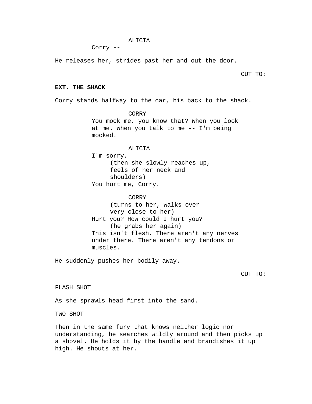### ALICIA

Corry --

He releases her, strides past her and out the door.

CUT TO:

### **EXT. THE SHACK**

Corry stands halfway to the car, his back to the shack.

CORRY You mock me, you know that? When you look at me. When you talk to me -- I'm being mocked.

### ALICIA

I'm sorry. (then she slowly reaches up, feels of her neck and shoulders) You hurt me, Corry.

CORRY (turns to her, walks over very close to her) Hurt you? How could I hurt you? (he grabs her again) This isn't flesh. There aren't any nerves under there. There aren't any tendons or muscles.

He suddenly pushes her bodily away.

CUT TO:

FLASH SHOT

As she sprawls head first into the sand.

TWO SHOT

Then in the same fury that knows neither logic nor understanding, he searches wildly around and then picks up a shovel. He holds it by the handle and brandishes it up high. He shouts at her.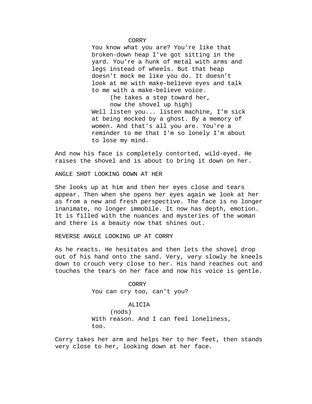You know what you are? You're like that broken-down heap I've got sitting in the yard. You're a hunk of metal with arms and legs instead of wheels. But that heap doesn't mock me like you do. It doesn't look at me with make-believe eyes and talk to me with a make-believe voice.

(he takes a step toward her, now the shovel up high) Well listen you... listen machine, I'm sick at being mocked by a ghost. By a memory of women. And that's all you are. You're a reminder to me that I'm so lonely I'm about to lose my mind.

And now his face is completely contorted, wild-eyed. He raises the shovel and is about to bring it down on her.

ANGLE SHOT LOOKING DOWN AT HER

She looks up at him and then her eyes close and tears appear. Then when she opens her eyes again we look at her as from a new and fresh perspective. The face is no longer inanimate, no longer immobile. It now has depth, emotion. It is filled with the nuances and mysteries of the woman and there is a beauty now that shines out.

REVERSE ANGLE LOOKING UP AT CORRY

As he reacts. He hesitates and then lets the shovel drop out of his hand onto the sand. Very, very slowly he kneels down to crouch very close to her. His hand reaches out and touches the tears on her face and now his voice is gentle.

> CORRY You can cry too, can't you?

## ALICIA

(nods) With reason. And I can feel loneliness, too.

Corry takes her arm and helps her to her feet, then stands very close to her, looking down at her face.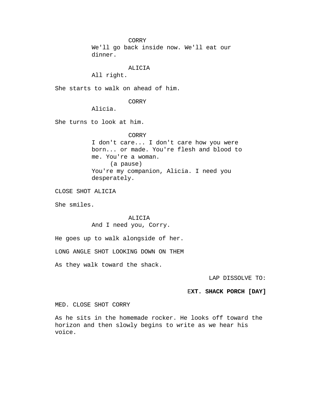We'll go back inside now. We'll eat our dinner.

### ALICIA

All right.

She starts to walk on ahead of him.

## **CORRY**

Alicia.

She turns to look at him.

#### CORRY

I don't care... I don't care how you were born... or made. You're flesh and blood to me. You're a woman. (a pause) You're my companion, Alicia. I need you desperately.

CLOSE SHOT ALICIA

She smiles.

## ALICIA And I need you, Corry.

He goes up to walk alongside of her.

LONG ANGLE SHOT LOOKING DOWN ON THEM

As they walk toward the shack.

LAP DISSOLVE TO:

## E**XT. SHACK PORCH [DAY]**

MED. CLOSE SHOT CORRY

As he sits in the homemade rocker. He looks off toward the horizon and then slowly begins to write as we hear his voice.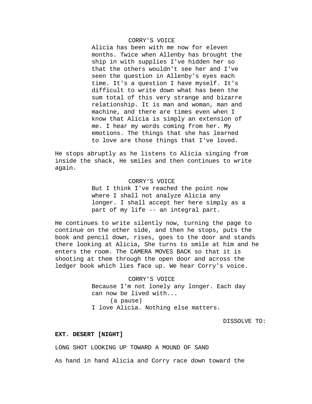## CORRY'S VOICE

Alicia has been with me now for eleven months. Twice when Allenby has brought the ship in with supplies I've hidden her so that the others wouldn't see her and I've seen the question in Allenby's eyes each time. It's a question I have myself. It's difficult to write down what has been the sum total of this very strange and bizarre relationship. It is man and woman, man and machine, and there are times even when I know that Alicia is simply an extension of me. I hear my words coming from her. My emotions. The things that she has learned to love are those things that I've loved.

He stops abruptly as he listens to Alicia singing from inside the shack, He smiles and then continues to write again.

#### CORRY'S VOICE

But I think I've reached the point now where I shall not analyze Alicia any longer. I shall accept her here simply as a part of my life -- an integral part.

He continues to write silently now, turning the page to continue on the other side, and then he stops, puts the book and pencil down, rises, goes to the door and stands there looking at Alicia, She turns to smile at him and he enters the room. The CAMERA MOVES BACK so that it is shooting at them through the open door and across the ledger book which lies face up. We hear Corry's voice.

> CORRY'S VOICE Because I'm not lonely any longer. Each day can now be lived with... (a pause) I love Alicia. Nothing else matters.

> > DISSOLVE TO:

## **EXT. DESERT [NIGHT]**

LONG SHOT LOOKING UP TOWARD A MOUND OF SAND

As hand in hand Alicia and Corry race down toward the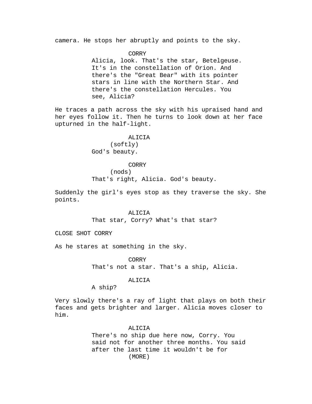camera. He stops her abruptly and points to the sky.

CORRY

Alicia, look. That's the star, Betelgeuse. It's in the constellation of Orion. And there's the "Great Bear" with its pointer stars in line with the Northern Star. And there's the constellation Hercules. You see, Alicia?

He traces a path across the sky with his upraised hand and her eyes follow it. Then he turns to look down at her face upturned in the half-light.

## ALICIA

(softly) God's beauty.

#### CORRY

(nods)

That's right, Alicia. God's beauty.

Suddenly the girl's eyes stop as they traverse the sky. She points.

> ALICIA That star, Corry? What's that star?

CLOSE SHOT CORRY

As he stares at something in the sky.

CORRY

That's not a star. That's a ship, Alicia.

#### ALICIA

A ship?

Very slowly there's a ray of light that plays on both their faces and gets brighter and larger. Alicia moves closer to him.

## ALICIA

There's no ship due here now, Corry. You said not for another three months. You said after the last time it wouldn't be for (MORE)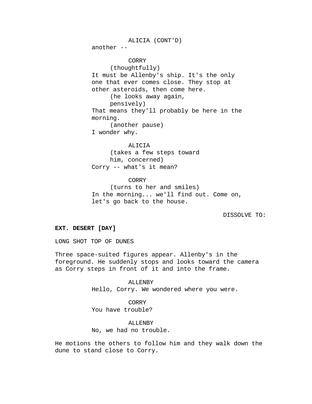ALICIA (CONT'D) another -- CORRY (thoughtfully) It must be Allenby's ship. It's the only one that ever comes close. They stop at other asteroids, then come here. (he looks away again, pensively) That means they'll probably be here in the morning. (another pause) I wonder why.

ALICIA (takes a few steps toward him, concerned) Corry -- what's it mean?

CORRY (turns to her and smiles) In the morning... we'll find out. Come on, let's go back to the house.

DISSOLVE TO:

### **EXT. DESERT [DAY]**

LONG SHOT TOP OF DUNES

Three space-suited figures appear. Allenby's in the foreground. He suddenly stops and looks toward the camera as Corry steps in front of it and into the frame.

> ALLENBY Hello, Corry. We wondered where you were.

CORRY You have trouble?

ALLENBY No, we had no trouble.

He motions the others to follow him and they walk down the dune to stand close to Corry.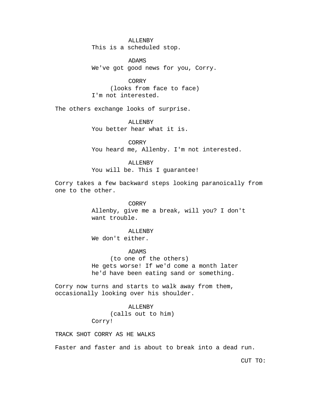ALLENBY This is a scheduled stop.

ADAMS We've got good news for you, Corry.

CORRY (looks from face to face) I'm not interested.

The others exchange looks of surprise.

ALLENBY You better hear what it is.

CORRY You heard me, Allenby. I'm not interested.

ALLENBY You will be. This I guarantee!

Corry takes a few backward steps looking paranoically from one to the other.

> CORRY Allenby, give me a break, will you? I don't want trouble.

> > ALLENBY

We don't either.

ADAMS

(to one of the others) He gets worse! If we'd come a month later he'd have been eating sand or something.

Corry now turns and starts to walk away from them, occasionally looking over his shoulder.

ALLENBY

(calls out to him)

Corry!

TRACK SHOT CORRY AS HE WALKS

Faster and faster and is about to break into a dead run.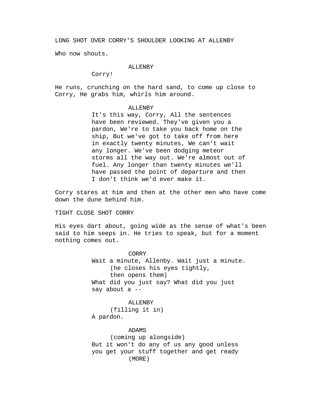LONG SHOT OVER CORRY'S SHOULDER LOOKING AT ALLENBY

Who now shouts.

## ALLENBY

Corry!

He runs, crunching on the hard sand, to come up close to Corry, He grabs him, whirls him around.

### ALLENBY

It's this way, Corry, All the sentences have been reviewed. They've given you a pardon, We're to take you back home on the ship, But we've got to take off from here in exactly twenty minutes, We can't wait any longer. We've been dodging meteor storms all the way out. We're almost out of fuel. Any longer than twenty minutes we'll have passed the point of departure and then I don't think we'd ever make it.

Corry stares at him and then at the other men who have come down the dune behind him.

TIGHT CLOSE SHOT CORRY

His eyes dart about, going wide as the sense of what's been said to him seeps in. He tries to speak, but for a moment nothing comes out.

> CORRY Wait a minute, Allenby. Wait just a minute. (he closes his eyes tightly, then opens them) What did you just say? What did you just say about a --

ALLENBY (filling it in) A pardon.

ADAMS

(coming up alongside) But it won't do any of us any good unless you get your stuff together and get ready (MORE)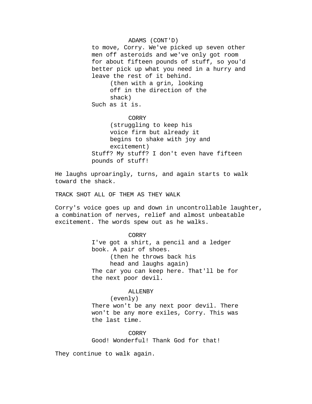ADAMS (CONT'D) to move, Corry. We've picked up seven other men off asteroids and we've only got room for about fifteen pounds of stuff, so you'd better pick up what you need in a hurry and leave the rest of it behind. (then with a grin, looking off in the direction of the shack) Such as it is.

CORRY

(struggling to keep his voice firm but already it begins to shake with joy and excitement) Stuff? My stuff? I don't even have fifteen pounds of stuff!

He laughs uproaringly, turns, and again starts to walk toward the shack.

TRACK SHOT ALL OF THEM AS THEY WALK

Corry's voice goes up and down in uncontrollable laughter, a combination of nerves, relief and almost unbeatable excitement. The words spew out as he walks.

### CORRY

I've got a shirt, a pencil and a ledger book. A pair of shoes. (then he throws back his head and laughs again) The car you can keep here. That'll be for the next poor devil.

## ALLENBY

(evenly)

There won't be any next poor devil. There won't be any more exiles, Corry. This was the last time.

**CORRY** Good! Wonderful! Thank God for that!

They continue to walk again.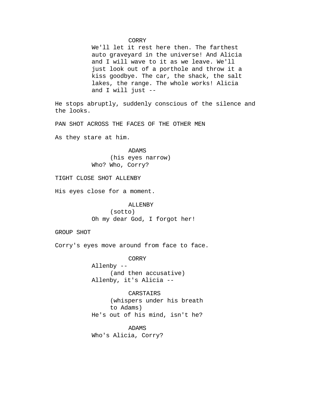We'll let it rest here then. The farthest auto graveyard in the universe! And Alicia and I will wave to it as we leave. We'll just look out of a porthole and throw it a kiss goodbye. The car, the shack, the salt lakes, the range. The whole works! Alicia and I will just  $-$ 

He stops abruptly, suddenly conscious of the silence and the looks.

PAN SHOT ACROSS THE FACES OF THE OTHER MEN

As they stare at him.

ADAMS (his eyes narrow) Who? Who, Corry?

TIGHT CLOSE SHOT ALLENBY

His eyes close for a moment.

ALLENBY (sotto) Oh my dear God, I forgot her!

GROUP SHOT

Corry's eyes move around from face to face.

CORRY

Allenby -- (and then accusative) Allenby, it's Alicia --

CARSTAIRS (whispers under his breath to Adams) He's out of his mind, isn't he?

ADAMS Who's Alicia, Corry?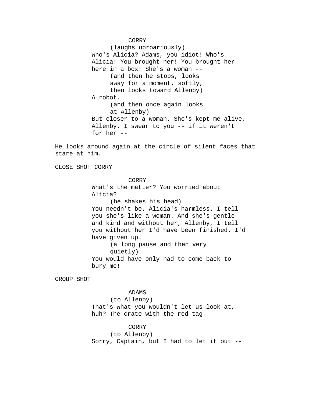(laughs uproariously) Who's Alicia? Adams, you idiot! Who's Alicia! You brought her! You brought her here in a box! She's a woman -- (and then he stops, looks away for a moment, softly, then looks toward Allenby) A robot. (and then once again looks at Allenby) But closer to a woman. She's kept me alive, Allenby. I swear to you -- if it weren't for her --

He looks around again at the circle of silent faces that stare at him.

CLOSE SHOT CORRY

CORRY What's the matter? You worried about Alicia? (he shakes his head) You needn't be. Alicia's harmless. I tell you she's like a woman. And she's gentle and kind and without her, Allenby, I tell you without her I'd have been finished. I'd have given up. (a long pause and then very quietly) You would have only had to come back to bury me!

GROUP SHOT

ADAMS

(to Allenby) That's what you wouldn't let us look at, huh? The crate with the red tag --

CORRY

(to Allenby) Sorry, Captain, but I had to let it out --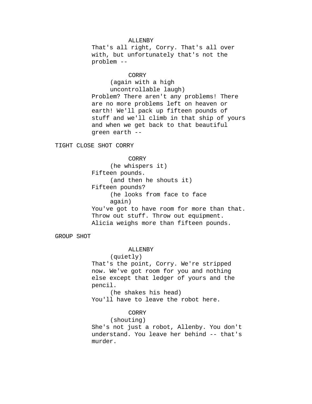## ALLENBY

That's all right, Corry. That's all over with, but unfortunately that's not the problem --

#### CORRY

(again with a high uncontrollable laugh) Problem? There aren't any problems! There are no more problems left on heaven or earth! We'll pack up fifteen pounds of stuff and we'll climb in that ship of yours and when we get back to that beautiful green earth --

TIGHT CLOSE SHOT CORRY

CORRY (he whispers it) Fifteen pounds. (and then he shouts it) Fifteen pounds? (he looks from face to face again) You've got to have room for more than that. Throw out stuff. Throw out equipment. Alicia weighs more than fifteen pounds.

GROUP SHOT

## ALLENBY

```
(quietly)
```
That's the point, Corry. We're stripped now. We've got room for you and nothing else except that ledger of yours and the pencil.

(he shakes his head) You'll have to leave the robot here.

## CORRY

(shouting)

She's not just a robot, Allenby. You don't understand. You leave her behind -- that's murder.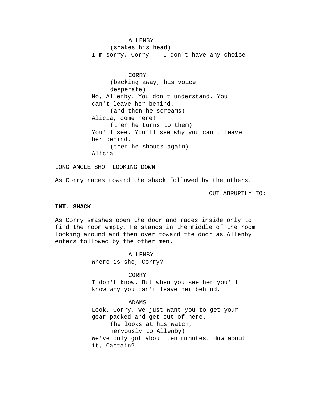ALLENBY (shakes his head) I'm sorry, Corry -- I don't have any choice  $- -$ CORRY (backing away, his voice desperate) No, Allenby. You don't understand. You can't leave her behind. (and then he screams) Alicia, come here! (then he turns to them) You'll see. You'll see why you can't leave her behind. (then he shouts again) Alicia!

LONG ANGLE SHOT LOOKING DOWN

As Corry races toward the shack followed by the others.

CUT ABRUPTLY TO:

## **INT. SHACK**

As Corry smashes open the door and races inside only to find the room empty. He stands in the middle of the room looking around and then over toward the door as Allenby enters followed by the other men.

> ALLENBY Where is she, Corry?

> > CORRY

I don't know. But when you see her you'll know why you can't leave her behind.

## ADAMS

Look, Corry. We just want you to get your gear packed and get out of here. (he looks at his watch, nervously to Allenby) We've only got about ten minutes. How about it, Captain?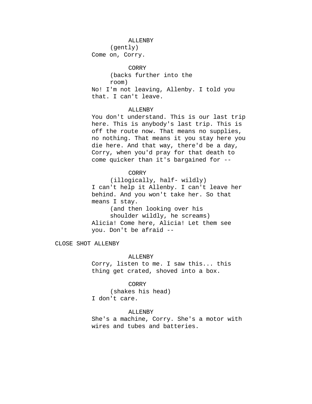#### ALLENBY

(gently)

Come on, Corry.

CORRY (backs further into the room) No! I'm not leaving, Allenby. I told you that. I can't leave.

## ALLENBY

You don't understand. This is our last trip here. This is anybody's last trip. This is off the route now. That means no supplies, no nothing. That means it you stay here you die here. And that way, there'd be a day, Corry, when you'd pray for that death to come quicker than it's bargained for --

## CORRY

(illogically, half- wildly) I can't help it Allenby. I can't leave her behind. And you won't take her. So that means I stay.

(and then looking over his shoulder wildly, he screams) Alicia! Come here, Alicia! Let them see you. Don't be afraid --

CLOSE SHOT ALLENBY

## ALLENBY

Corry, listen to me. I saw this... this thing get crated, shoved into a box.

#### CORRY

(shakes his head) I don't care.

## ALLENBY

She's a machine, Corry. She's a motor with wires and tubes and batteries.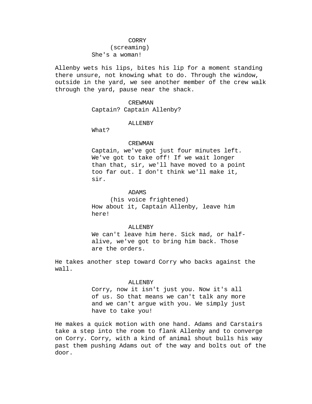# (screaming) She's a woman!

Allenby wets his lips, bites his lip for a moment standing there unsure, not knowing what to do. Through the window, outside in the yard, we see another member of the crew walk through the yard, pause near the shack.

## CREWMAN Captain? Captain Allenby?

#### ALLENBY

What?

#### CREWMAN

Captain, we've got just four minutes left. We've got to take off! If we wait longer than that, sir, we'll have moved to a point too far out. I don't think we'll make it, sir.

## ADAMS

(his voice frightened) How about it, Captain Allenby, leave him here!

### ALLENBY

We can't leave him here. Sick mad, or halfalive, we've got to bring him back. Those are the orders.

He takes another step toward Corry who backs against the wall.

#### ALLENBY

Corry, now it isn't just you. Now it's all of us. So that means we can't talk any more and we can't argue with you. We simply just have to take you!

He makes a quick motion with one hand. Adams and Carstairs take a step into the room to flank Allenby and to converge on Corry. Corry, with a kind of animal shout bulls his way past them pushing Adams out of the way and bolts out of the door.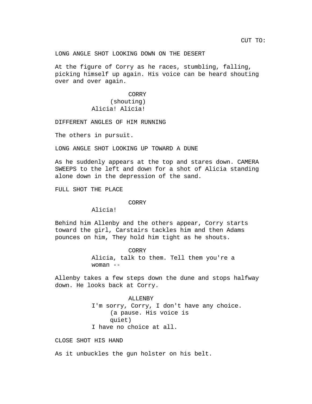LONG ANGLE SHOT LOOKING DOWN ON THE DESERT

At the figure of Corry as he races, stumbling, falling, picking himself up again. His voice can be heard shouting over and over again.

> CORRY (shouting) Alicia! Alicia!

DIFFERENT ANGLES OF HIM RUNNING

The others in pursuit.

LONG ANGLE SHOT LOOKING UP TOWARD A DUNE

As he suddenly appears at the top and stares down. CAMERA SWEEPS to the left and down for a shot of Alicia standing alone down in the depression of the sand.

FULL SHOT THE PLACE

#### CORRY

Alicia!

Behind him Allenby and the others appear, Corry starts toward the girl, Carstairs tackles him and then Adams pounces on him, They hold him tight as he shouts.

> CORRY Alicia, talk to them. Tell them you're a woman  $--$

Allenby takes a few steps down the dune and stops halfway down. He looks back at Corry.

> ALLENBY I'm sorry, Corry, I don't have any choice. (a pause. His voice is quiet) I have no choice at all.

CLOSE SHOT HIS HAND

As it unbuckles the gun holster on his belt.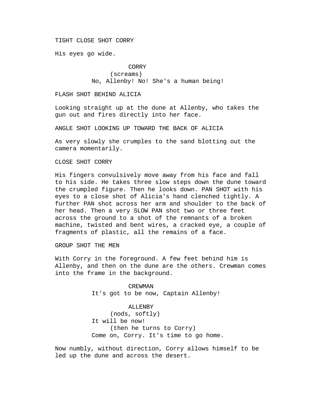## TIGHT CLOSE SHOT CORRY

His eyes go wide.

# CORRY (screams) No, Allenby! No! She's a human being!

### FLASH SHOT BEHIND ALICIA

Looking straight up at the dune at Allenby, who takes the gun out and fires directly into her face.

ANGLE SHOT LOOKING UP TOWARD THE BACK OF ALICIA

As very slowly she crumples to the sand blotting out the camera momentarily.

CLOSE SHOT CORRY

His fingers convulsively move away from his face and fall to his side. He takes three slow steps down the dune toward the crumpled figure. Then he looks down. PAN SHOT with his eyes to a close shot of Alicia's hand clenched tightly. A further PAN shot across her arm and shoulder to the back of her head. Then a very SLOW PAN shot two or three feet across the ground to a shot of the remnants of a broken machine, twisted and bent wires, a cracked eye, a couple of fragments of plastic, all the remains of a face.

GROUP SHOT THE MEN

With Corry in the foreground. A few feet behind him is Allenby, and then on the dune are the others. Crewman comes into the frame in the background.

> CREWMAN It's got to be now, Captain Allenby!

ALLENBY (nods, softly) It will be now! (then he turns to Corry) Come on, Corry. It's time to go home.

Now numbly, without direction, Corry allows himself to be led up the dune and across the desert.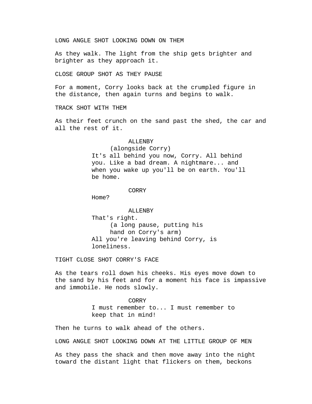## LONG ANGLE SHOT LOOKING DOWN ON THEM

As they walk. The light from the ship gets brighter and brighter as they approach it.

### CLOSE GROUP SHOT AS THEY PAUSE

For a moment, Corry looks back at the crumpled figure in the distance, then again turns and begins to walk.

## TRACK SHOT WITH THEM

As their feet crunch on the sand past the shed, the car and all the rest of it.

#### ALLENBY

(alongside Corry) It's all behind you now, Corry. All behind you. Like a bad dream. A nightmare... and when you wake up you'll be on earth. You'll be home.

#### CORRY

Home?

# ALLENBY That's right. (a long pause, putting his hand on Corry's arm) All you're leaving behind Corry, is loneliness.

TIGHT CLOSE SHOT CORRY'S FACE

As the tears roll down his cheeks. His eyes move down to the sand by his feet and for a moment his face is impassive and immobile. He nods slowly.

> **CORRY** I must remember to... I must remember to keep that in mind!

Then he turns to walk ahead of the others.

LONG ANGLE SHOT LOOKING DOWN AT THE LITTLE GROUP OF MEN

As they pass the shack and then move away into the night toward the distant light that flickers on them, beckons